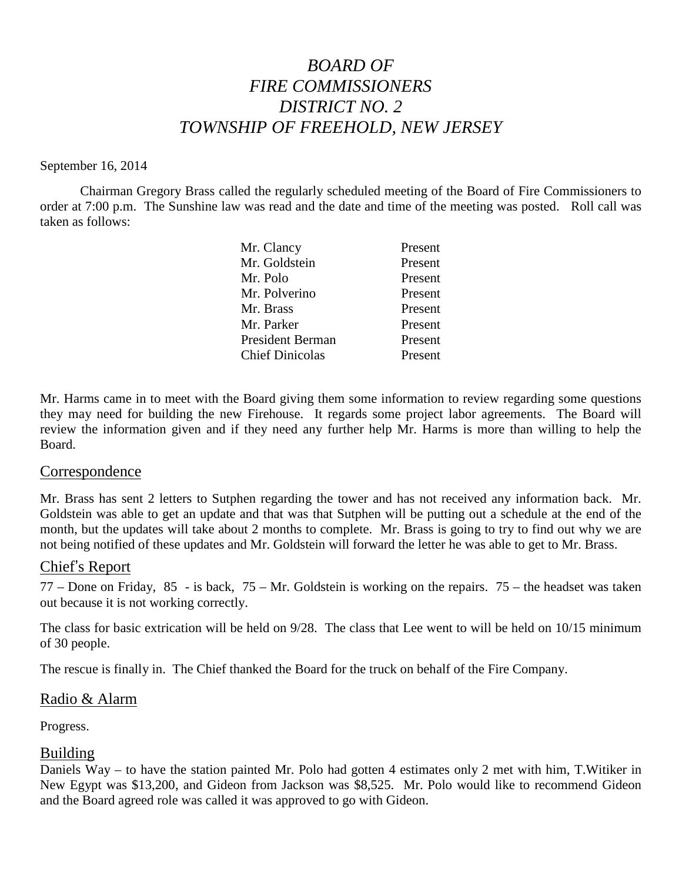# *BOARD OF FIRE COMMISSIONERS DISTRICT NO. 2 TOWNSHIP OF FREEHOLD, NEW JERSEY*

## September 16, 2014

Chairman Gregory Brass called the regularly scheduled meeting of the Board of Fire Commissioners to order at 7:00 p.m. The Sunshine law was read and the date and time of the meeting was posted. Roll call was taken as follows:

| Mr. Clancy              | Present |
|-------------------------|---------|
| Mr. Goldstein           | Present |
| Mr. Polo                | Present |
| Mr. Polverino           | Present |
| Mr. Brass               | Present |
| Mr. Parker              | Present |
| <b>President Berman</b> | Present |
| <b>Chief Dinicolas</b>  | Present |

Mr. Harms came in to meet with the Board giving them some information to review regarding some questions they may need for building the new Firehouse. It regards some project labor agreements. The Board will review the information given and if they need any further help Mr. Harms is more than willing to help the Board.

## Correspondence

Mr. Brass has sent 2 letters to Sutphen regarding the tower and has not received any information back. Mr. Goldstein was able to get an update and that was that Sutphen will be putting out a schedule at the end of the month, but the updates will take about 2 months to complete. Mr. Brass is going to try to find outwhy we are not being notified of these updates and Mr. Goldstein will forward the letter he was able to get to Mr. Brass.

## Chief's Report

77 – Done on Friday, 85 - is back, 75 – Mr. Goldstein is working on the repairs. 75 – the headset was taken out because it is not working correctly.

The class for basic extrication will be held on 9/28. The class that Lee went to will be held on 10/15 minimum of 30 people.

The rescue is finally in. The Chief thanked the Board for the truck on behalf of the Fire Company.

## Radio & Alarm

Progress.

## Building

Daniels Way – to have the station painted Mr. Polo had gotten 4 estimates only 2 met with him, T.Witiker in New Egypt was \$13,200, and Gideon from Jackson was \$8,525. Mr. Polo would like to recommend Gideon and the Board agreed role was called it was approved to go with Gideon.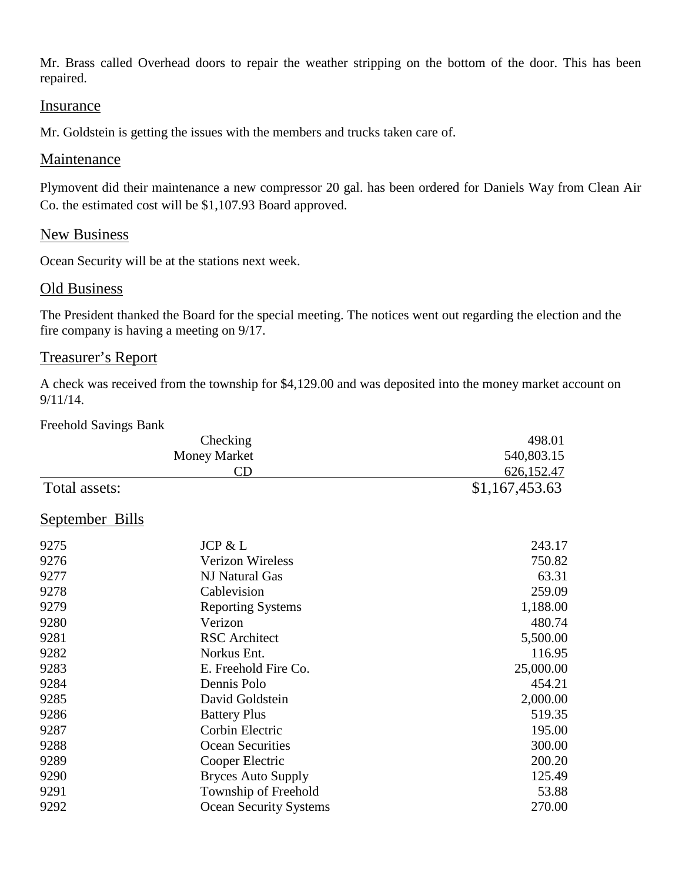Mr. Brass called Overhead doors to repair the weather stripping on the bottom of the door. This has been repaired.

## Insurance

Mr. Goldstein is getting the issues with the members and trucks taken care of.

## Maintenance

Plymovent did their maintenance a new compressor 20 gal. has been ordered for Daniels Way from Clean Air Co. the estimated cost will be \$1,107.93 Board approved.

## New Business

Ocean Security will be at the stations next week.

## Old Business

The President thanked the Board for the special meeting. The notices went out regarding the election and the fire company is having a meeting on 9/17.

## Treasurer's Report

A check was received from the township for \$4,129.00 and was deposited into the money market account on 9/11/14.

#### Freehold Savings Bank

| Checking<br><b>Money Market</b> |                               | 498.01         |
|---------------------------------|-------------------------------|----------------|
|                                 |                               | 540,803.15     |
|                                 | CD                            | 626,152.47     |
| Total assets:                   |                               | \$1,167,453.63 |
| September Bills                 |                               |                |
| 9275                            | JCP & L                       | 243.17         |
| 9276                            | <b>Verizon Wireless</b>       | 750.82         |
| 9277                            | NJ Natural Gas                | 63.31          |
| 9278                            | Cablevision                   | 259.09         |
| 9279                            | <b>Reporting Systems</b>      | 1,188.00       |
| 9280                            | Verizon                       | 480.74         |
| 9281                            | <b>RSC</b> Architect          | 5,500.00       |
| 9282                            | Norkus Ent.                   | 116.95         |
| 9283                            | E. Freehold Fire Co.          | 25,000.00      |
| 9284                            | Dennis Polo                   | 454.21         |
| 9285                            | David Goldstein               | 2,000.00       |
| 9286                            | <b>Battery Plus</b>           | 519.35         |
| 9287                            | Corbin Electric               | 195.00         |
| 9288                            | Ocean Securities              | 300.00         |
| 9289                            | Cooper Electric               | 200.20         |
| 9290                            | <b>Bryces Auto Supply</b>     | 125.49         |
| 9291                            | Township of Freehold          | 53.88          |
| 9292                            | <b>Ocean Security Systems</b> | 270.00         |